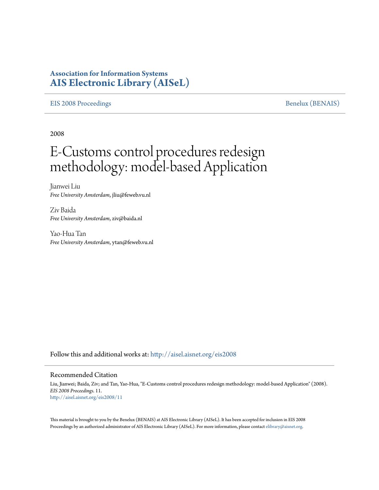# **Association for Information Systems [AIS Electronic Library \(AISeL\)](http://aisel.aisnet.org?utm_source=aisel.aisnet.org%2Feis2008%2F11&utm_medium=PDF&utm_campaign=PDFCoverPages)**

## [EIS 2008 Proceedings](http://aisel.aisnet.org/eis2008?utm_source=aisel.aisnet.org%2Feis2008%2F11&utm_medium=PDF&utm_campaign=PDFCoverPages) [Benelux \(BENAIS\)](http://aisel.aisnet.org/benais?utm_source=aisel.aisnet.org%2Feis2008%2F11&utm_medium=PDF&utm_campaign=PDFCoverPages)

2008

# E-Customs control procedures redesign methodology: model-based Application

Jianwei Liu *Free University Amsterdam*, jliu@feweb.vu.nl

Ziv Baida *Free University Amsterdam*, ziv@baida.nl

Yao-Hua Tan *Free University Amsterdam*, ytan@feweb.vu.nl

Follow this and additional works at: [http://aisel.aisnet.org/eis2008](http://aisel.aisnet.org/eis2008?utm_source=aisel.aisnet.org%2Feis2008%2F11&utm_medium=PDF&utm_campaign=PDFCoverPages)

#### Recommended Citation

Liu, Jianwei; Baida, Ziv; and Tan, Yao-Hua, "E-Customs control procedures redesign methodology: model-based Application" (2008). *EIS 2008 Proceedings*. 11. [http://aisel.aisnet.org/eis2008/11](http://aisel.aisnet.org/eis2008/11?utm_source=aisel.aisnet.org%2Feis2008%2F11&utm_medium=PDF&utm_campaign=PDFCoverPages)

This material is brought to you by the Benelux (BENAIS) at AIS Electronic Library (AISeL). It has been accepted for inclusion in EIS 2008 Proceedings by an authorized administrator of AIS Electronic Library (AISeL). For more information, please contact [elibrary@aisnet.org](mailto:elibrary@aisnet.org%3E).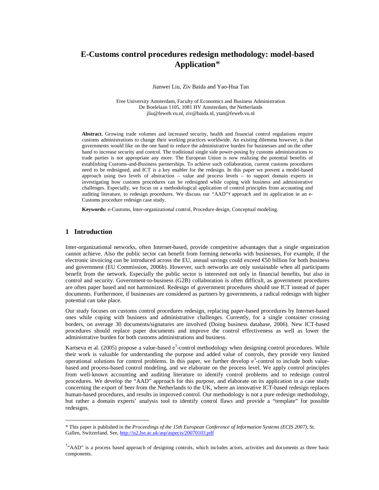## **E-Customs control procedures redesign methodology: model-based Application**\*

Jianwei Liu, Ziv Baida and Yao-Hua Tan

Free University Amsterdam, Faculty of Economics and Business Administration De Boelelaan 1105, 1081 HV Amsterdam, the Netherlands jliu@feweb.vu.nl, ziv@baida.nl, ytan@feweb.vu.nl

**Abstract.** Growing trade volumes and increased security, health and financial control regulations require customs administrations to change their working practices worldwide. An existing dilemma however, is that governments would like on the one hand to reduce the administrative burden for businesses and on the other hand to increase security and control. The traditional single side power-posing by customs administrations to trade parties is not appropriate any more. The European Union is now realizing the potential benefits of establishing Customs-and-Business partnerships. To achieve such collaboration, current customs procedures need to be redesigned, and ICT is a key enabler for the redesign. In this paper we present a model-based approach using two levels of abstraction – value and process levels – to support domain experts in investigating how customs procedures can be redesigned while coping with business and administrative challenges. Especially, we focus on a methodological application of control principles from accounting and auditing literature, to redesign procedures. We discuss our "AAD"† approach and its application in an e-Customs procedure redesign case study.

**Keywords:** e-Customs, Inter-organizational control, Procedure design, Conceptual modeling.

#### **1 Introduction**

 $\overline{a}$ 

Inter-organizational networks, often Internet-based, provide competitive advantages that a single organization cannot achieve. Also the public sector can benefit from forming networks with businesses, For example, if the electronic invoicing can be introduced across the EU, annual savings could exceed  $\epsilon$ 50 billion for both business and government (EU Commission, 2006b). However, such networks are only sustainable when all participants benefit from the network. Especially the public sector is interested not only in financial benefits, but also in control and security. Government-to-business (G2B) collaboration is often difficult, as government procedures are often paper based and not harmonized. Redesign of government procedures should use ICT instead of paper documents. Furthermore, if businesses are considered as partners by governments, a radical redesign with higher potential can take place.

Our study focuses on customs control procedures redesign, replacing paper-based procedures by Internet-based ones while coping with business and administrative challenges. Currently, for a single container crossing borders, on average 30 documents/signatures are involved (Doing business database, 2006). New ICT-based procedures should replace paper documents and improve the control effectiveness as well as lower the administrative burden for both customs administrations and business.

Kartseva et al. (2005) propose a value-based  $e^3$ -control methodology when designing control procedures. While their work is valuable for understanding the purpose and added value of controls, they provide very limited operational solutions for control problems. In this paper, we further develop  $e<sup>3</sup>$ -control to include both valuebased and process-based control modeling, and we elaborate on the process level. We apply control principles from well-known accounting and auditing literature to identify control problems and to redesign control procedures. We develop the "AAD" approach for this purpose, and elaborate on its application in a case study concerning the export of beer from the Netherlands to the UK, where an innovative ICT-based redesign replaces human-based procedures, and results in improved control. Our methodology is not a pure redesign methodology, but rather a domain experts' analysis tool to identify control flaws and provide a "template" for possible redesigns.

<sup>\*</sup> This paper is published in the *Proceedings of the 15th European Conference of Information Systems (ECIS 2007)*, St. Gallen, Switzerland. See, http://is2.lse.ac.uk/asp/aspecis/20070103.pdf

<sup>&</sup>lt;sup>†</sup>"AAD" is a process based approach of designing controls, which includes actors, activities and documents as three basic components.